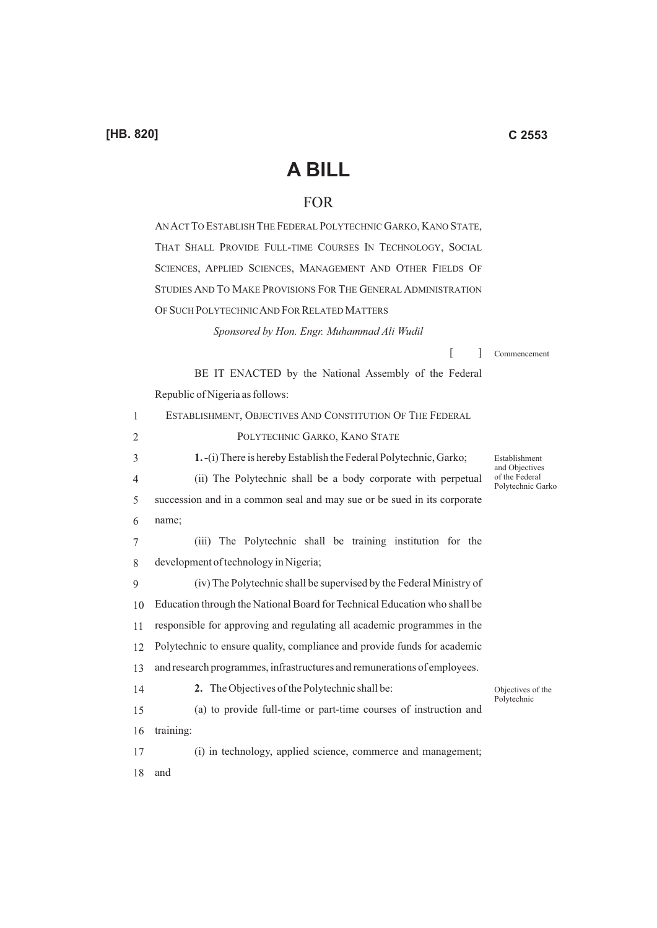# **A BILL**

## FOR

ANACT TO ESTABLISH THE FEDERAL POLYTECHNIC GARKO, KANO STATE, THAT SHALL PROVIDE FULL-TIME COURSES IN TECHNOLOGY, SOCIAL SCIENCES, APPLIED SCIENCES, MANAGEMENT AND OTHER FIELDS OF STUDIES AND TO MAKE PROVISIONS FOR THE GENERAL ADMINISTRATION OF SUCH POLYTECHNICAND FOR RELATED MATTERS

*Sponsored by Hon. Engr. Muhammad Ali Wudil* 

Commencement

 $\lceil$ 

BE IT ENACTED by the National Assembly of the Federal Republic of Nigeria as follows:

| 1  | ESTABLISHMENT, OBJECTIVES AND CONSTITUTION OF THE FEDERAL                 |                                     |
|----|---------------------------------------------------------------------------|-------------------------------------|
| 2  | POLYTECHNIC GARKO, KANO STATE                                             |                                     |
| 3  | 1.-(i) There is hereby Establish the Federal Polytechnic, Garko;          | Establishment<br>and Objectives     |
| 4  | (ii) The Polytechnic shall be a body corporate with perpetual             | of the Federal<br>Polytechnic Garko |
| 5  | succession and in a common seal and may sue or be sued in its corporate   |                                     |
| 6  | name;                                                                     |                                     |
| 7  | (iii) The Polytechnic shall be training institution for the               |                                     |
| 8  | development of technology in Nigeria;                                     |                                     |
| 9  | (iv) The Polytechnic shall be supervised by the Federal Ministry of       |                                     |
| 10 | Education through the National Board for Technical Education who shall be |                                     |
| 11 | responsible for approving and regulating all academic programmes in the   |                                     |
| 12 | Polytechnic to ensure quality, compliance and provide funds for academic  |                                     |
| 13 | and research programmes, infrastructures and remunerations of employees.  |                                     |
| 14 | 2. The Objectives of the Polytechnic shall be:                            | Objectives of the<br>Polytechnic    |
| 15 | (a) to provide full-time or part-time courses of instruction and          |                                     |
| 16 | training:                                                                 |                                     |
| 17 | (i) in technology, applied science, commerce and management;              |                                     |
| 18 | and                                                                       |                                     |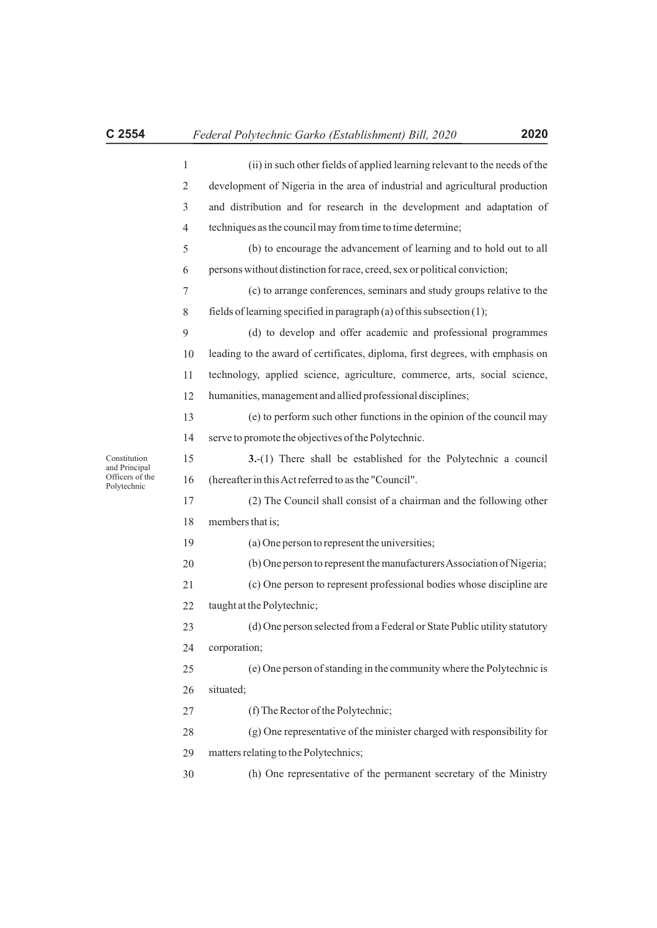|                                | 1              | (ii) in such other fields of applied learning relevant to the needs of the     |
|--------------------------------|----------------|--------------------------------------------------------------------------------|
|                                | 2              | development of Nigeria in the area of industrial and agricultural production   |
|                                | 3              | and distribution and for research in the development and adaptation of         |
|                                | $\overline{4}$ | techniques as the council may from time to time determine;                     |
|                                | 5              | (b) to encourage the advancement of learning and to hold out to all            |
|                                | 6              | persons without distinction for race, creed, sex or political conviction;      |
|                                | 7              | (c) to arrange conferences, seminars and study groups relative to the          |
|                                | 8              | fields of learning specified in paragraph (a) of this subsection (1);          |
|                                | 9              | (d) to develop and offer academic and professional programmes                  |
|                                | 10             | leading to the award of certificates, diploma, first degrees, with emphasis on |
|                                | 11             | technology, applied science, agriculture, commerce, arts, social science,      |
|                                | 12             | humanities, management and allied professional disciplines;                    |
|                                | 13             | (e) to perform such other functions in the opinion of the council may          |
|                                | 14             | serve to promote the objectives of the Polytechnic.                            |
| Constitution<br>and Principal  | 15             | 3.-(1) There shall be established for the Polytechnic a council                |
| Officers of the<br>Polytechnic | 16             | (hereafter in this Act referred to as the "Council".                           |
|                                | 17             | (2) The Council shall consist of a chairman and the following other            |
|                                | 18             | members that is;                                                               |
|                                | 19             | (a) One person to represent the universities;                                  |
|                                | 20             | (b) One person to represent the manufacturers Association of Nigeria;          |
|                                | 21             | (c) One person to represent professional bodies whose discipline are           |
|                                | 22             | taught at the Polytechnic;                                                     |
|                                | 23             | (d) One person selected from a Federal or State Public utility statutory       |
|                                | 24             | corporation;                                                                   |
|                                | 25             | (e) One person of standing in the community where the Polytechnic is           |
|                                | 26             | situated;                                                                      |
|                                | 27             | (f) The Rector of the Polytechnic;                                             |
|                                | 28             | $(g)$ One representative of the minister charged with responsibility for       |
|                                | 29             | matters relating to the Polytechnics;                                          |
|                                | 30             | (h) One representative of the permanent secretary of the Ministry              |
|                                |                |                                                                                |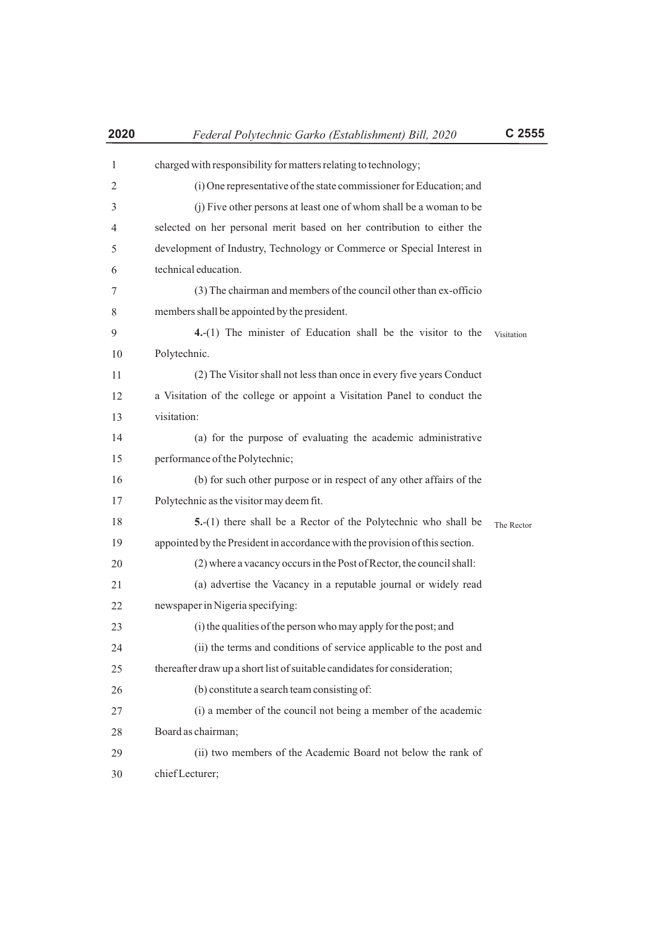| 1  | charged with responsibility for matters relating to technology;              |            |
|----|------------------------------------------------------------------------------|------------|
| 2  | (i) One representative of the state commissioner for Education; and          |            |
| 3  | (j) Five other persons at least one of whom shall be a woman to be           |            |
| 4  | selected on her personal merit based on her contribution to either the       |            |
| 5  | development of Industry, Technology or Commerce or Special Interest in       |            |
| 6  | technical education.                                                         |            |
| 7  | (3) The chairman and members of the council other than ex-officio            |            |
| 8  | members shall be appointed by the president.                                 |            |
| 9  | 4. (1) The minister of Education shall be the visitor to the                 | Visitation |
| 10 | Polytechnic.                                                                 |            |
| 11 | (2) The Visitor shall not less than once in every five years Conduct         |            |
| 12 | a Visitation of the college or appoint a Visitation Panel to conduct the     |            |
| 13 | visitation:                                                                  |            |
| 14 | (a) for the purpose of evaluating the academic administrative                |            |
| 15 | performance of the Polytechnic;                                              |            |
| 16 | (b) for such other purpose or in respect of any other affairs of the         |            |
| 17 | Polytechnic as the visitor may deem fit.                                     |            |
| 18 | 5.-(1) there shall be a Rector of the Polytechnic who shall be               | The Rector |
| 19 | appointed by the President in accordance with the provision of this section. |            |
| 20 | (2) where a vacancy occurs in the Post of Rector, the council shall:         |            |
| 21 | (a) advertise the Vacancy in a reputable journal or widely read              |            |
| 22 | newspaper in Nigeria specifying:                                             |            |
| 23 | (i) the qualities of the person who may apply for the post; and              |            |
| 24 | (ii) the terms and conditions of service applicable to the post and          |            |
| 25 | thereafter draw up a short list of suitable candidates for consideration;    |            |
| 26 | (b) constitute a search team consisting of:                                  |            |
| 27 | (i) a member of the council not being a member of the academic               |            |
| 28 | Board as chairman;                                                           |            |
| 29 | (ii) two members of the Academic Board not below the rank of                 |            |
| 30 | chief Lecturer;                                                              |            |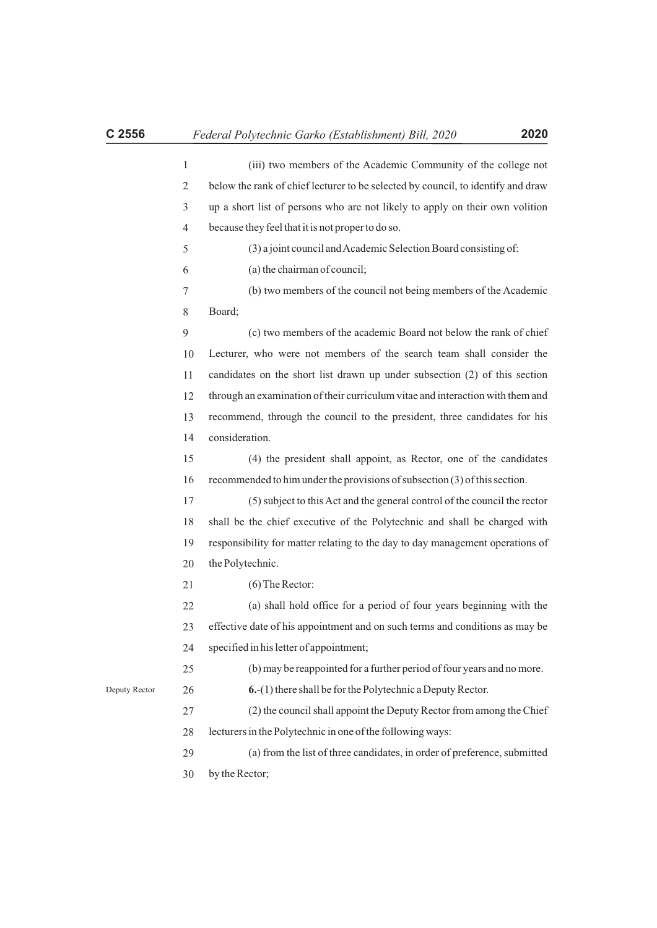| (iii) two members of the Academic Community of the college not                   |
|----------------------------------------------------------------------------------|
| below the rank of chief lecturer to be selected by council, to identify and draw |

3 4 5 up a short list of persons who are not likely to apply on their own volition because they feel that it is not proper to do so.

(3) a joint council and Academic Selection Board consisting of:

(a) the chairman of council;

(b) two members of the council not being members of the Academic Board;

9 10 11 12 13 14 (c) two members of the academic Board not below the rank of chief Lecturer, who were not members of the search team shall consider the candidates on the short list drawn up under subsection (2) of this section through an examination of their curriculum vitae and interaction with them and recommend, through the council to the president, three candidates for his consideration.

15 16 (4) the president shall appoint, as Rector, one of the candidates recommended to him under the provisions of subsection (3) of this section.

17 18 19 20 (5) subject to this Act and the general control of the council the rector shall be the chief executive of the Polytechnic and shall be charged with responsibility for matter relating to the day to day management operations of the Polytechnic.

21 (6) The Rector:

22 23 24 (a) shall hold office for a period of four years beginning with the effective date of his appointment and on such terms and conditions as may be specified in his letter of appointment;

(b) may be reappointed for a further period of four years and no more.

Deputy Rector

25

26 **6.**-(1) there shall be for the Polytechnic a Deputy Rector.

27 (2) the council shall appoint the Deputy Rector from among the Chief

28 lecturers in the Polytechnic in one of the following ways:

29 30 (a) from the list of three candidates, in order of preference, submitted by the Rector;

1 2

6 7 8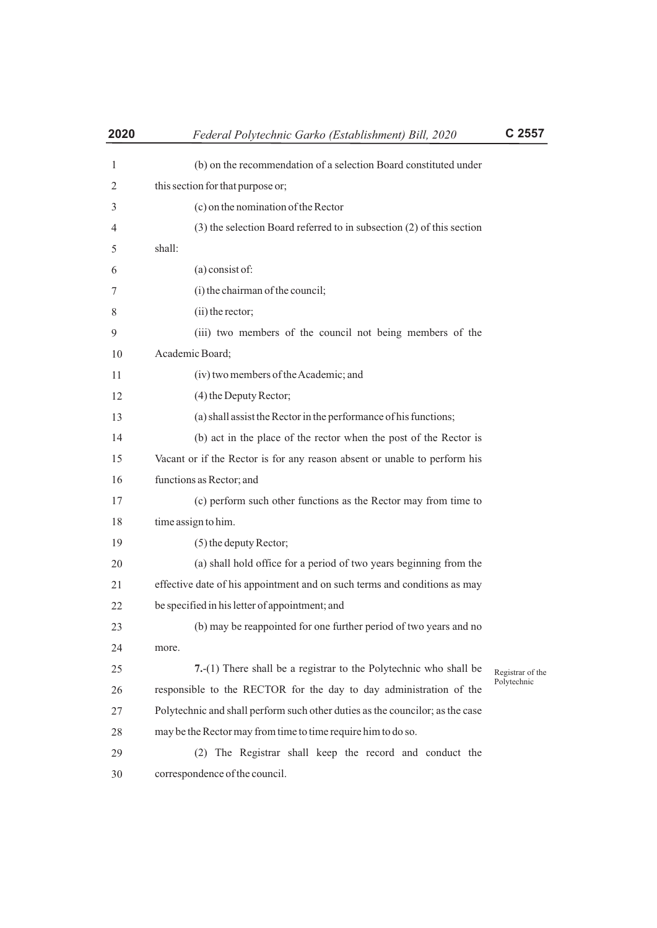| 2020 | Federal Polytechnic Garko (Establishment) Bill, 2020                          | C 2557           |
|------|-------------------------------------------------------------------------------|------------------|
| 1    | (b) on the recommendation of a selection Board constituted under              |                  |
| 2    | this section for that purpose or;                                             |                  |
| 3    | (c) on the nomination of the Rector                                           |                  |
| 4    | $(3)$ the selection Board referred to in subsection $(2)$ of this section     |                  |
| 5    | shall:                                                                        |                  |
| 6    | (a) consist of:                                                               |                  |
| 7    | (i) the chairman of the council;                                              |                  |
| 8    | (ii) the rector;                                                              |                  |
| 9    | (iii) two members of the council not being members of the                     |                  |
| 10   | Academic Board;                                                               |                  |
| 11   | (iv) two members of the Academic; and                                         |                  |
| 12   | (4) the Deputy Rector;                                                        |                  |
| 13   | (a) shall assist the Rector in the performance of his functions;              |                  |
| 14   | (b) act in the place of the rector when the post of the Rector is             |                  |
| 15   | Vacant or if the Rector is for any reason absent or unable to perform his     |                  |
| 16   | functions as Rector; and                                                      |                  |
| 17   | (c) perform such other functions as the Rector may from time to               |                  |
| 18   | time assign to him.                                                           |                  |
| 19   | (5) the deputy Rector;                                                        |                  |
| 20   | (a) shall hold office for a period of two years beginning from the            |                  |
| 21   | effective date of his appointment and on such terms and conditions as may     |                  |
| 22   | be specified in his letter of appointment; and                                |                  |
| 23   | (b) may be reappointed for one further period of two years and no             |                  |
| 24   | more.                                                                         |                  |
| 25   | 7.-(1) There shall be a registrar to the Polytechnic who shall be             | Registrar of the |
| 26   | responsible to the RECTOR for the day to day administration of the            | Polytechnic      |
| 27   | Polytechnic and shall perform such other duties as the councilor; as the case |                  |
| 28   | may be the Rector may from time to time require him to do so.                 |                  |
| 29   | (2) The Registrar shall keep the record and conduct the                       |                  |
| 30   | correspondence of the council.                                                |                  |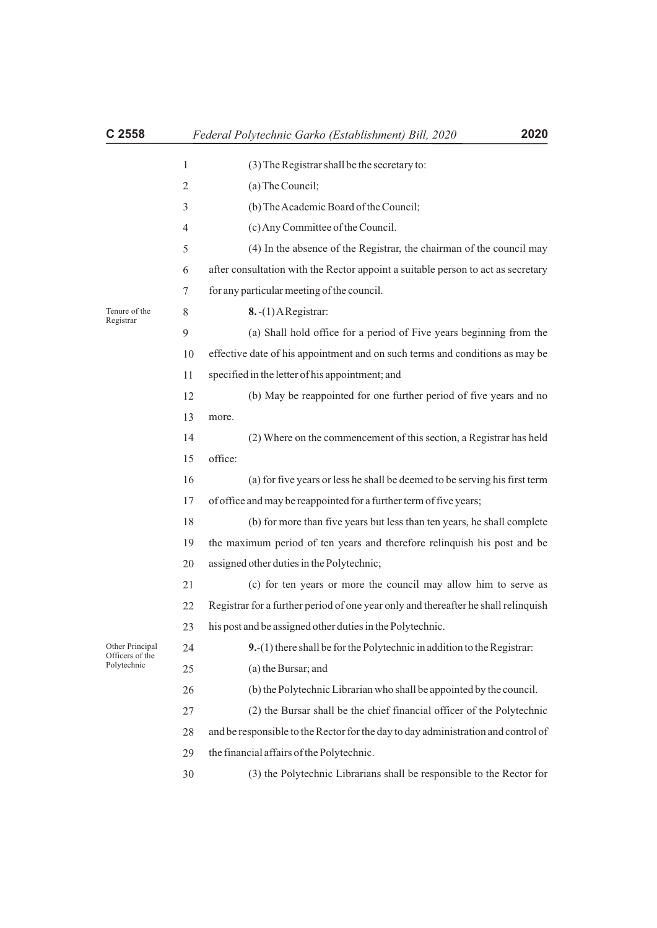| C 2558                             |                                        | 2020<br>Federal Polytechnic Garko (Establishment) Bill, 2020                       |
|------------------------------------|----------------------------------------|------------------------------------------------------------------------------------|
|                                    | $\mathbf{1}$                           | (3) The Registrar shall be the secretary to:                                       |
| 2<br>3                             |                                        | (a) The Council;                                                                   |
|                                    | (b) The Academic Board of the Council; |                                                                                    |
|                                    | 4                                      | (c) Any Committee of the Council.                                                  |
|                                    | 5                                      | (4) In the absence of the Registrar, the chairman of the council may               |
|                                    | 6                                      | after consultation with the Rector appoint a suitable person to act as secretary   |
|                                    | 7                                      | for any particular meeting of the council.                                         |
| Tenure of the                      | 8                                      | $8.-(1)$ ARegistrar:                                                               |
| Registrar                          | 9                                      | (a) Shall hold office for a period of Five years beginning from the                |
|                                    | 10                                     | effective date of his appointment and on such terms and conditions as may be       |
|                                    | 11                                     | specified in the letter of his appointment; and                                    |
|                                    | 12                                     | (b) May be reappointed for one further period of five years and no                 |
|                                    | 13                                     | more.                                                                              |
|                                    | 14                                     | (2) Where on the commencement of this section, a Registrar has held                |
|                                    | 15                                     | office:                                                                            |
|                                    | 16                                     | (a) for five years or less he shall be deemed to be serving his first term         |
|                                    | 17                                     | of office and may be reappointed for a further term of five years;                 |
|                                    | 18                                     | (b) for more than five years but less than ten years, he shall complete            |
|                                    | 19                                     | the maximum period of ten years and therefore relinquish his post and be           |
|                                    | 20                                     | assigned other duties in the Polytechnic;                                          |
|                                    | 21                                     | (c) for ten years or more the council may allow him to serve as                    |
|                                    | 22                                     | Registrar for a further period of one year only and thereafter he shall relinquish |
|                                    | 23                                     | his post and be assigned other duties in the Polytechnic.                          |
| Other Principal<br>Officers of the | 24                                     | 9.-(1) there shall be for the Polytechnic in addition to the Registrar:            |
| Polytechnic                        | 25                                     | (a) the Bursar; and                                                                |
|                                    | 26                                     | (b) the Polytechnic Librarian who shall be appointed by the council.               |
|                                    | 27                                     | (2) the Bursar shall be the chief financial officer of the Polytechnic             |
|                                    | 28                                     | and be responsible to the Rector for the day to day administration and control of  |
|                                    | 29                                     | the financial affairs of the Polytechnic.                                          |
|                                    | 30                                     | (3) the Polytechnic Librarians shall be responsible to the Rector for              |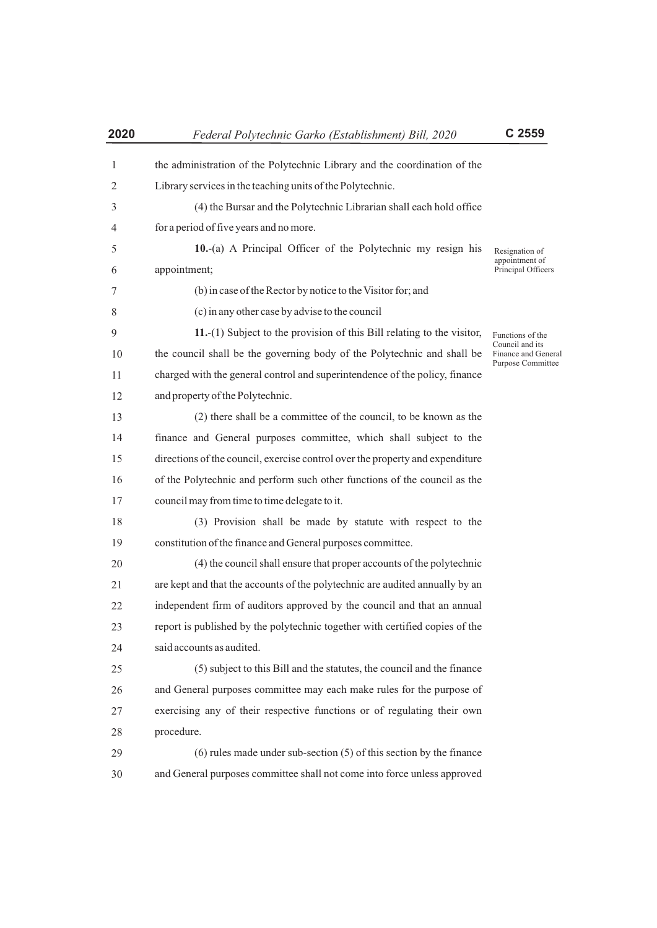## the administration of the Polytechnic Library and the coordination of the Library services in the teaching units of the Polytechnic. (4) the Bursar and the Polytechnic Librarian shall each hold office **10.**-(a) A Principal Officer of the Polytechnic my resign his (b) in case of the Rector by notice to the Visitor for; and (c) in any other case by advise to the council Resignation of appointment of Principal Officers Functions of the

**11.**-(1) Subject to the provision of this Bill relating to the visitor, the council shall be the governing body of the Polytechnic and shall be charged with the general control and superintendence of the policy, finance Council and its Finance and General Purpose Committee

12 13 and property of the Polytechnic. (2) there shall be a committee of the council, to be known as the

for a period of five years and no more.

appointment;

14 15 16 17 finance and General purposes committee, which shall subject to the directions of the council, exercise control over the property and expenditure of the Polytechnic and perform such other functions of the council as the council may from time to time delegate to it.

18 19 (3) Provision shall be made by statute with respect to the constitution of the finance and General purposes committee.

20 21 22 23 24 (4) the council shall ensure that proper accounts of the polytechnic are kept and that the accounts of the polytechnic are audited annually by an independent firm of auditors approved by the council and that an annual report is published by the polytechnic together with certified copies of the said accounts as audited.

25 26 27 28 (5) subject to this Bill and the statutes, the council and the finance and General purposes committee may each make rules for the purpose of exercising any of their respective functions or of regulating their own procedure.

29 30 (6) rules made under sub-section (5) of this section by the finance and General purposes committee shall not come into force unless approved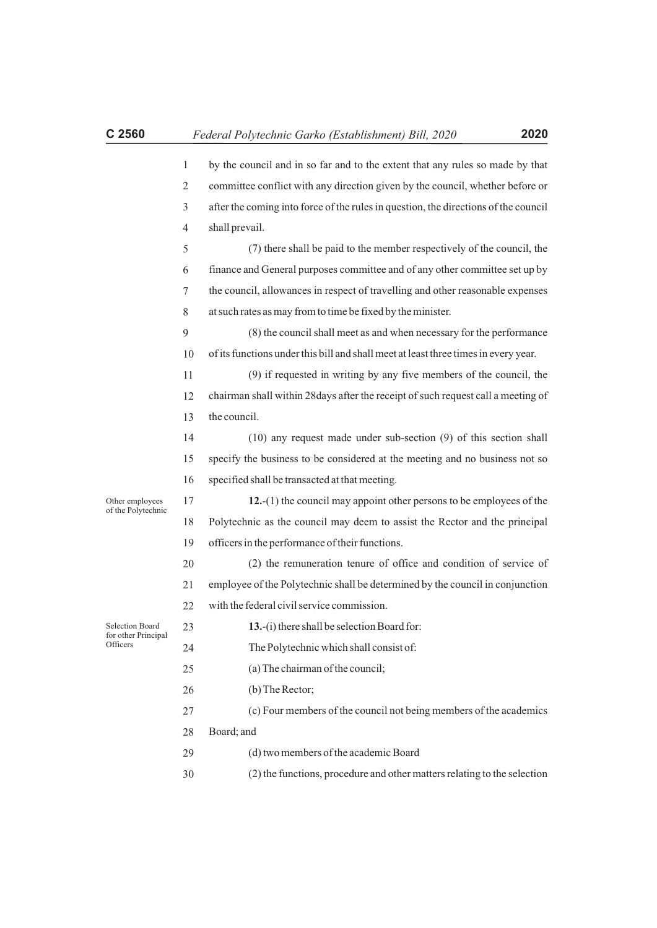| by the council and in so far and to the extent that any rules so made by that       |
|-------------------------------------------------------------------------------------|
| committee conflict with any direction given by the council, whether before or       |
| after the coming into force of the rules in question, the directions of the council |

4 shall prevail.

1 2 3

5 6 7 8 (7) there shall be paid to the member respectively of the council, the finance and General purposes committee and of any other committee set up by the council, allowances in respect of travelling and other reasonable expenses at such rates as may from to time be fixed by the minister.

9 10 (8) the council shall meet as and when necessary for the performance of its functions under this bill and shall meet at least three times in every year.

11 12 13 (9) if requested in writing by any five members of the council, the chairman shall within 28days after the receipt of such request call a meeting of the council.

14 15 16 (10) any request made under sub-section (9) of this section shall specify the business to be considered at the meeting and no business not so specified shall be transacted at that meeting.

17 18 19 **12.**-(1) the council may appoint other persons to be employees of the Polytechnic as the council may deem to assist the Rector and the principal officers in the performance of their functions. Other employees of the Polytechnic

> 20 21 22 (2) the remuneration tenure of office and condition of service of employee of the Polytechnic shall be determined by the council in conjunction with the federal civil service commission.

Selection Board for other Principal **Officers** 

| 23 | 13. (i) there shall be selection Board for:                              |
|----|--------------------------------------------------------------------------|
| 24 | The Polytechnic which shall consist of:                                  |
| 25 | (a) The chairman of the council;                                         |
| 26 | $(b)$ The Rector;                                                        |
| 27 | (c) Four members of the council not being members of the academics       |
| 28 | Board; and                                                               |
| 29 | (d) two members of the academic Board                                    |
| 30 | (2) the functions, procedure and other matters relating to the selection |

(2) the functions, procedure and other matters relating to the selection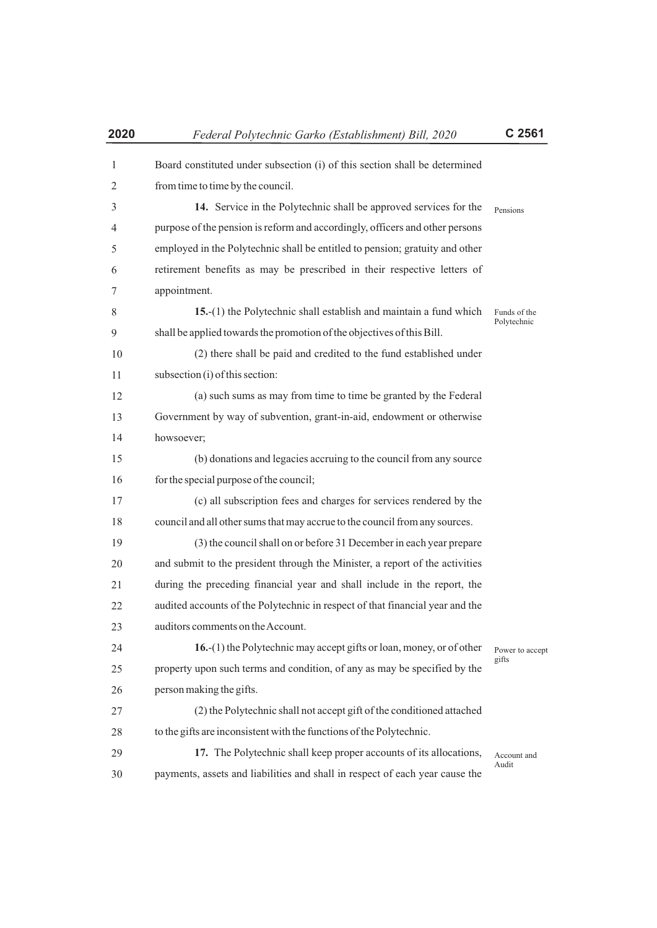| 1              | Board constituted under subsection (i) of this section shall be determined    |                 |
|----------------|-------------------------------------------------------------------------------|-----------------|
| $\overline{2}$ | from time to time by the council.                                             |                 |
| 3              | 14. Service in the Polytechnic shall be approved services for the             | Pensions        |
| 4              | purpose of the pension is reform and accordingly, officers and other persons  |                 |
| 5              | employed in the Polytechnic shall be entitled to pension; gratuity and other  |                 |
| 6              | retirement benefits as may be prescribed in their respective letters of       |                 |
| 7              | appointment.                                                                  |                 |
| 8              | 15.-(1) the Polytechnic shall establish and maintain a fund which             | Funds of the    |
| 9              | shall be applied towards the promotion of the objectives of this Bill.        | Polytechnic     |
| 10             | (2) there shall be paid and credited to the fund established under            |                 |
| 11             | subsection (i) of this section:                                               |                 |
| 12             | (a) such sums as may from time to time be granted by the Federal              |                 |
| 13             | Government by way of subvention, grant-in-aid, endowment or otherwise         |                 |
| 14             | howsoever;                                                                    |                 |
| 15             | (b) donations and legacies accruing to the council from any source            |                 |
| 16             | for the special purpose of the council;                                       |                 |
| 17             | (c) all subscription fees and charges for services rendered by the            |                 |
| 18             | council and all other sums that may accrue to the council from any sources.   |                 |
| 19             | (3) the council shall on or before 31 December in each year prepare           |                 |
| 20             | and submit to the president through the Minister, a report of the activities  |                 |
| 21             | during the preceding financial year and shall include in the report, the      |                 |
| 22             | audited accounts of the Polytechnic in respect of that financial year and the |                 |
| 23             | auditors comments on the Account.                                             |                 |
| 24             | 16.-(1) the Polytechnic may accept gifts or loan, money, or of other          | Power to accept |
| 25             | property upon such terms and condition, of any as may be specified by the     | gifts           |
| 26             | person making the gifts.                                                      |                 |
| 27             | (2) the Polytechnic shall not accept gift of the conditioned attached         |                 |
| 28             | to the gifts are inconsistent with the functions of the Polytechnic.          |                 |
| 29             | 17. The Polytechnic shall keep proper accounts of its allocations,            | Account and     |
| 30             | payments, assets and liabilities and shall in respect of each year cause the  | Audit           |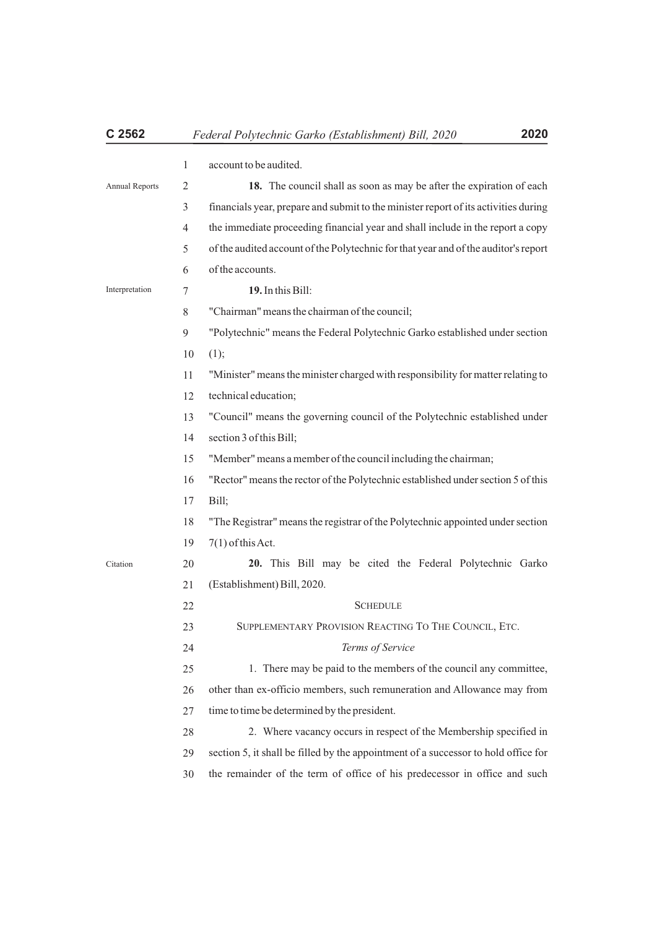| C 2562                |                | 2020<br>Federal Polytechnic Garko (Establishment) Bill, 2020                        |
|-----------------------|----------------|-------------------------------------------------------------------------------------|
|                       | $\mathbf{1}$   | account to be audited.                                                              |
| <b>Annual Reports</b> | $\overline{2}$ | 18. The council shall as soon as may be after the expiration of each                |
|                       | 3              | financials year, prepare and submit to the minister report of its activities during |
|                       | 4              | the immediate proceeding financial year and shall include in the report a copy      |
|                       | 5              | of the audited account of the Polytechnic for that year and of the auditor's report |
|                       | 6              | of the accounts.                                                                    |
| Interpretation        | 7              | 19. In this Bill:                                                                   |
|                       | 8              | "Chairman" means the chairman of the council;                                       |
|                       | 9              | "Polytechnic" means the Federal Polytechnic Garko established under section         |
|                       | 10             | (1);                                                                                |
|                       | 11             | "Minister" means the minister charged with responsibility for matter relating to    |
|                       | 12             | technical education;                                                                |
|                       | 13             | "Council" means the governing council of the Polytechnic established under          |
|                       | 14             | section 3 of this Bill;                                                             |
|                       | 15             | "Member" means a member of the council including the chairman;                      |
|                       | 16             | "Rector" means the rector of the Polytechnic established under section 5 of this    |
|                       | 17             | Bill;                                                                               |
|                       | 18             | "The Registrar" means the registrar of the Polytechnic appointed under section      |
|                       | 19             | $7(1)$ of this Act.                                                                 |
| Citation              | 20             | 20. This Bill may be cited the Federal Polytechnic Garko                            |
|                       | 21             | (Establishment) Bill, 2020.                                                         |
|                       | 22             | <b>SCHEDULE</b>                                                                     |
|                       | 23             | SUPPLEMENTARY PROVISION REACTING TO THE COUNCIL, ETC.                               |
|                       | 24             | Terms of Service                                                                    |
|                       | 25             | 1. There may be paid to the members of the council any committee,                   |
|                       | 26             | other than ex-officio members, such remuneration and Allowance may from             |
|                       | 27             | time to time be determined by the president.                                        |
|                       | 28             | 2. Where vacancy occurs in respect of the Membership specified in                   |
|                       | 29             | section 5, it shall be filled by the appointment of a successor to hold office for  |
|                       | 30             | the remainder of the term of office of his predecessor in office and such           |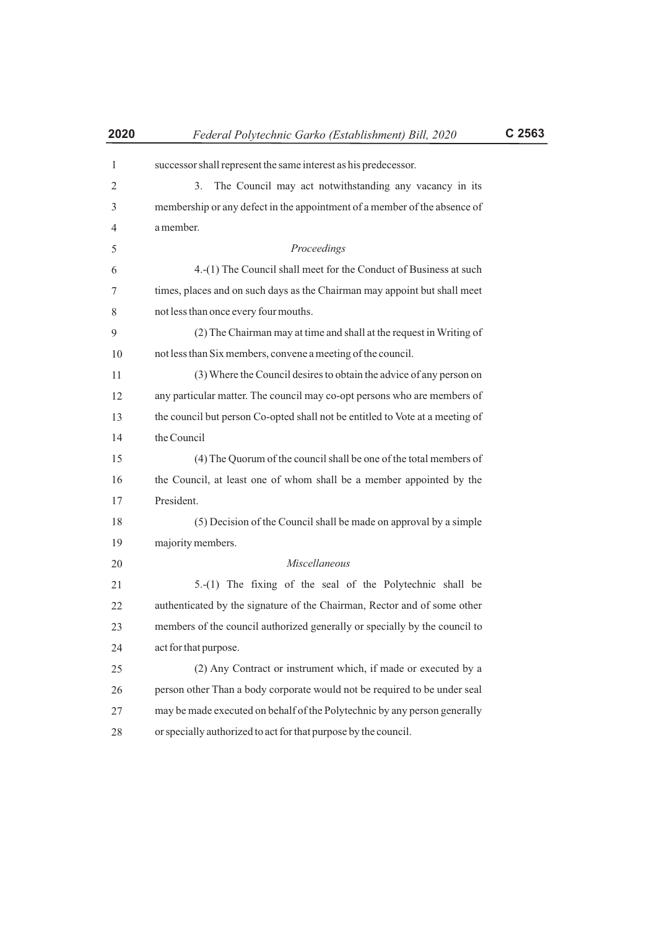| 2020           | Federal Polytechnic Garko (Establishment) Bill, 2020                          | C 2563 |
|----------------|-------------------------------------------------------------------------------|--------|
| $\mathbf{1}$   | successor shall represent the same interest as his predecessor.               |        |
| $\overline{2}$ | 3.<br>The Council may act notwithstanding any vacancy in its                  |        |
| 3              | membership or any defect in the appointment of a member of the absence of     |        |
| 4              | a member.                                                                     |        |
| 5              | Proceedings                                                                   |        |
| 6              | 4.-(1) The Council shall meet for the Conduct of Business at such             |        |
| 7              | times, places and on such days as the Chairman may appoint but shall meet     |        |
| 8              | not less than once every four mouths.                                         |        |
| 9              | (2) The Chairman may at time and shall at the request in Writing of           |        |
| 10             | not less than Six members, convene a meeting of the council.                  |        |
| 11             | (3) Where the Council desires to obtain the advice of any person on           |        |
| 12             | any particular matter. The council may co-opt persons who are members of      |        |
| 13             | the council but person Co-opted shall not be entitled to Vote at a meeting of |        |
| 14             | the Council                                                                   |        |
| 15             | (4) The Quorum of the council shall be one of the total members of            |        |
| 16             | the Council, at least one of whom shall be a member appointed by the          |        |
| 17             | President.                                                                    |        |
| 18             | (5) Decision of the Council shall be made on approval by a simple             |        |
| 19             | majority members.                                                             |        |
| 20             | Miscellaneous                                                                 |        |
| 21             | 5.-(1) The fixing of the seal of the Polytechnic shall be                     |        |
| 22             | authenticated by the signature of the Chairman, Rector and of some other      |        |
| 23             | members of the council authorized generally or specially by the council to    |        |
| 24             | act for that purpose.                                                         |        |
| 25             | (2) Any Contract or instrument which, if made or executed by a                |        |
| 26             | person other Than a body corporate would not be required to be under seal     |        |
| 27             | may be made executed on behalf of the Polytechnic by any person generally     |        |

or specially authorized to act for that purpose by the council.

28